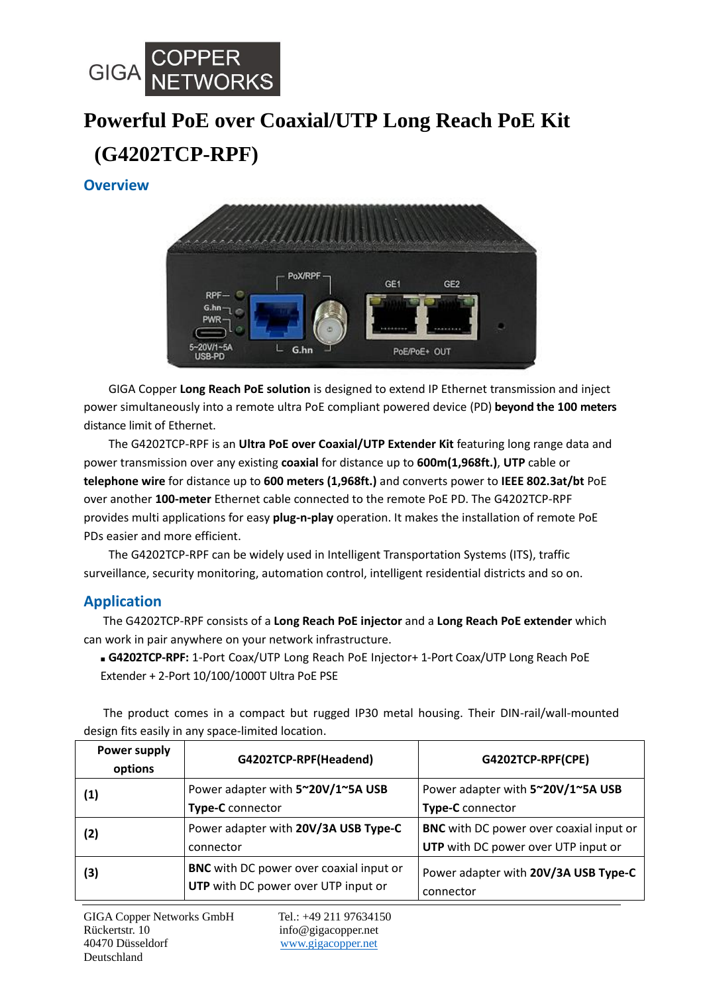

# **Powerful PoE over Coaxial/UTP Long Reach PoE Kit (G4202TCP-RPF)**

### **Overview**



GIGA Copper **Long Reach PoE solution** is designed to extend IP Ethernet transmission and inject power simultaneously into a remote ultra PoE compliant powered device (PD) **beyond the 100 meters** distance limit of Ethernet.

The G4202TCP-RPF is an **Ultra PoE over Coaxial/UTP Extender Kit** featuring long range data and power transmission over any existing **coaxial** for distance up to **600m(1,968ft.)**, **UTP** cable or **telephone wire** for distance up to **600 meters (1,968ft.)** and converts power to **IEEE 802.3at/bt** PoE over another **100-meter** Ethernet cable connected to the remote PoE PD. The G4202TCP-RPF provides multi applications for easy **plug-n-play** operation. It makes the installation of remote PoE PDs easier and more efficient.

The G4202TCP-RPF can be widely used in Intelligent Transportation Systems (ITS), traffic surveillance, security monitoring, automation control, intelligent residential districts and so on.

#### **Application**

 The G4202TCP-RPF consists of a **Long Reach PoE injector** and a **Long Reach PoE extender** which can work in pair anywhere on your network infrastructure.

■ **G4202TCP-RPF:** 1-Port Coax/UTP Long Reach PoE Injector+ 1-Port Coax/UTP Long Reach PoE Extender + 2-Port 10/100/1000T Ultra PoE PSE

The product comes in a compact but rugged IP30 metal housing. Their DIN-rail/wall-mounted design fits easily in any space-limited location.

| Power supply<br>options | G4202TCP-RPF(Headend)                                                                 | G4202TCP-RPF(CPE)                              |
|-------------------------|---------------------------------------------------------------------------------------|------------------------------------------------|
| (1)                     | Power adapter with 5~20V/1~5A USB                                                     | Power adapter with 5~20V/1~5A USB              |
|                         | Type-C connector                                                                      | Type-C connector                               |
| (2)                     | Power adapter with 20V/3A USB Type-C                                                  | <b>BNC</b> with DC power over coaxial input or |
|                         | connector                                                                             | UTP with DC power over UTP input or            |
| (3)                     | <b>BNC</b> with DC power over coaxial input or<br>UTP with DC power over UTP input or | Power adapter with 20V/3A USB Type-C           |
|                         |                                                                                       | connector                                      |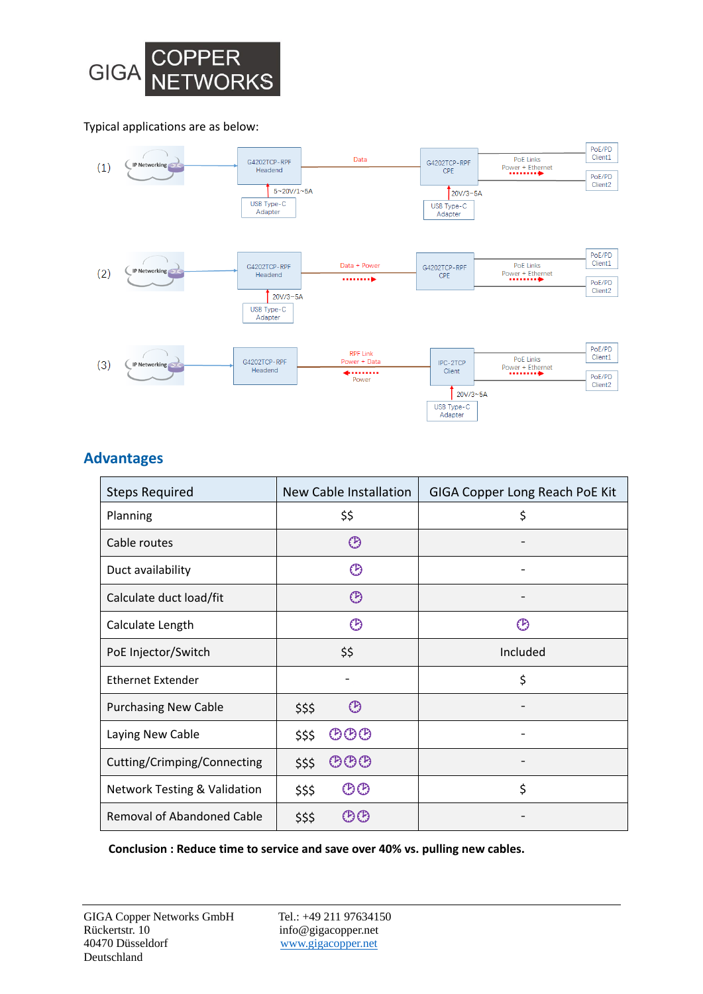

#### Typical applications are as below:



#### **Advantages**

| <b>Steps Required</b>                   | New Cable Installation                 | <b>GIGA Copper Long Reach PoE Kit</b> |
|-----------------------------------------|----------------------------------------|---------------------------------------|
| Planning                                | \$\$                                   | \$                                    |
| Cable routes                            | ⊕                                      |                                       |
| Duct availability                       | છ                                      |                                       |
| Calculate duct load/fit                 | $\circled{P}$                          |                                       |
| Calculate Length                        | ℗                                      | O)                                    |
| PoE Injector/Switch                     | \$\$                                   | Included                              |
| <b>Ethernet Extender</b>                |                                        | \$                                    |
| <b>Purchasing New Cable</b>             | ⊕<br>\$\$\$                            |                                       |
| Laying New Cable                        | じじじ<br>\$\$\$                          |                                       |
| Cutting/Crimping/Connecting             | $\mathfrak{CD} \mathfrak{O}$<br>\$\$\$ |                                       |
| <b>Network Testing &amp; Validation</b> | <b>じの</b><br>\$\$\$                    | \$                                    |
| <b>Removal of Abandoned Cable</b>       | <b>②③</b><br>\$\$\$                    |                                       |

**Conclusion : Reduce time to service and save over 40% vs. pulling new cables.**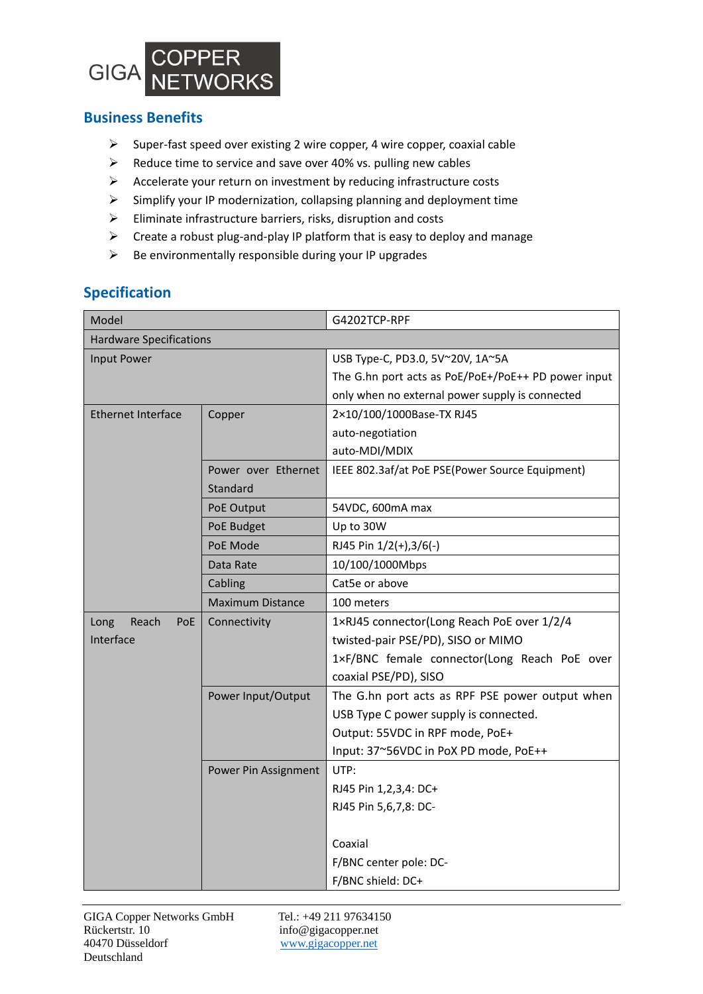

#### **Business Benefits**

- $\triangleright$  Super-fast speed over existing 2 wire copper, 4 wire copper, coaxial cable
- $\triangleright$  Reduce time to service and save over 40% vs. pulling new cables
- $\triangleright$  Accelerate your return on investment by reducing infrastructure costs
- $\triangleright$  Simplify your IP modernization, collapsing planning and deployment time
- $\triangleright$  Eliminate infrastructure barriers, risks, disruption and costs
- $\triangleright$  Create a robust plug-and-play IP platform that is easy to deploy and manage
- $\triangleright$  Be environmentally responsible during your IP upgrades

#### **Specification**

| Model                          |                         | G4202TCP-RPF                                        |
|--------------------------------|-------------------------|-----------------------------------------------------|
| <b>Hardware Specifications</b> |                         |                                                     |
| Input Power                    |                         | USB Type-C, PD3.0, 5V~20V, 1A~5A                    |
|                                |                         | The G.hn port acts as PoE/PoE+/PoE++ PD power input |
|                                |                         | only when no external power supply is connected     |
| <b>Ethernet Interface</b>      | Copper                  | 2×10/100/1000Base-TX RJ45                           |
|                                |                         | auto-negotiation                                    |
|                                |                         | auto-MDI/MDIX                                       |
|                                | Power over Ethernet     | IEEE 802.3af/at PoE PSE(Power Source Equipment)     |
|                                | Standard                |                                                     |
|                                | PoE Output              | 54VDC, 600mA max                                    |
|                                | PoE Budget              | Up to 30W                                           |
|                                | PoE Mode                | RJ45 Pin 1/2(+),3/6(-)                              |
|                                | Data Rate               | 10/100/1000Mbps                                     |
|                                | Cabling                 | Cat5e or above                                      |
|                                | <b>Maximum Distance</b> | 100 meters                                          |
| Reach<br>Long<br>PoE           | Connectivity            | 1×RJ45 connector(Long Reach PoE over 1/2/4          |
| Interface                      |                         | twisted-pair PSE/PD), SISO or MIMO                  |
|                                |                         | 1xF/BNC female connector(Long Reach PoE over        |
|                                |                         | coaxial PSE/PD), SISO                               |
|                                | Power Input/Output      | The G.hn port acts as RPF PSE power output when     |
|                                |                         | USB Type C power supply is connected.               |
|                                |                         | Output: 55VDC in RPF mode, PoE+                     |
|                                |                         | Input: 37~56VDC in PoX PD mode, PoE++               |
|                                | Power Pin Assignment    | UTP:                                                |
|                                |                         | RJ45 Pin 1,2,3,4: DC+                               |
|                                |                         | RJ45 Pin 5,6,7,8: DC-                               |
|                                |                         |                                                     |
|                                |                         | Coaxial                                             |
|                                |                         | F/BNC center pole: DC-                              |
|                                |                         | F/BNC shield: DC+                                   |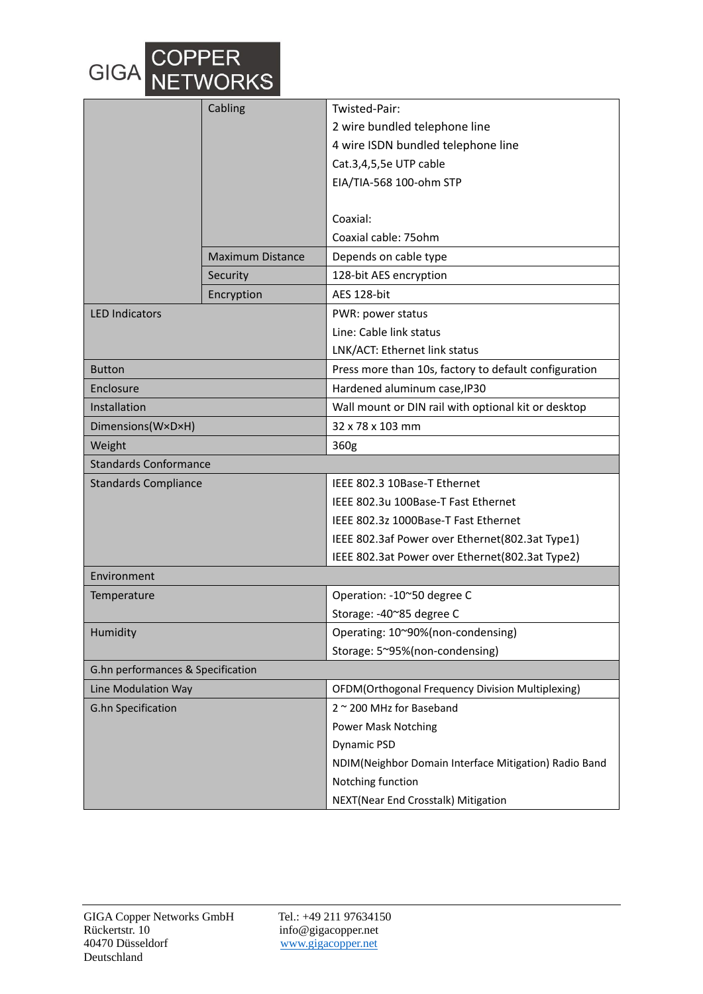

|                                   | Cabling                 | Twisted-Pair:                                         |  |
|-----------------------------------|-------------------------|-------------------------------------------------------|--|
|                                   |                         | 2 wire bundled telephone line                         |  |
|                                   |                         | 4 wire ISDN bundled telephone line                    |  |
|                                   |                         | Cat.3,4,5,5e UTP cable                                |  |
|                                   |                         | EIA/TIA-568 100-ohm STP                               |  |
|                                   |                         |                                                       |  |
|                                   |                         | Coaxial:                                              |  |
|                                   |                         | Coaxial cable: 75ohm                                  |  |
|                                   | <b>Maximum Distance</b> | Depends on cable type                                 |  |
|                                   | Security                | 128-bit AES encryption                                |  |
|                                   | Encryption              | AES 128-bit                                           |  |
| <b>LED Indicators</b>             |                         | PWR: power status                                     |  |
|                                   |                         | Line: Cable link status                               |  |
|                                   |                         | LNK/ACT: Ethernet link status                         |  |
| <b>Button</b>                     |                         | Press more than 10s, factory to default configuration |  |
| Enclosure                         |                         | Hardened aluminum case, IP30                          |  |
| Installation                      |                         | Wall mount or DIN rail with optional kit or desktop   |  |
| Dimensions(W×D×H)                 |                         | 32 x 78 x 103 mm                                      |  |
| Weight                            |                         | 360g                                                  |  |
| <b>Standards Conformance</b>      |                         |                                                       |  |
| <b>Standards Compliance</b>       |                         | IEEE 802.3 10Base-T Ethernet                          |  |
|                                   |                         | IEEE 802.3u 100Base-T Fast Ethernet                   |  |
|                                   |                         | IEEE 802.3z 1000Base-T Fast Ethernet                  |  |
|                                   |                         | IEEE 802.3af Power over Ethernet(802.3at Type1)       |  |
|                                   |                         | IEEE 802.3at Power over Ethernet(802.3at Type2)       |  |
| Environment                       |                         |                                                       |  |
| Temperature                       |                         | Operation: - 10~50 degree C                           |  |
|                                   |                         | Storage: -40~85 degree C                              |  |
| Humidity                          |                         | Operating: 10~90%(non-condensing)                     |  |
|                                   |                         | Storage: 5~95%(non-condensing)                        |  |
| G.hn performances & Specification |                         |                                                       |  |
| Line Modulation Way               |                         | OFDM(Orthogonal Frequency Division Multiplexing)      |  |
| <b>G.hn Specification</b>         |                         | 2 ~ 200 MHz for Baseband                              |  |
|                                   |                         | <b>Power Mask Notching</b>                            |  |
|                                   |                         | Dynamic PSD                                           |  |
|                                   |                         | NDIM(Neighbor Domain Interface Mitigation) Radio Band |  |
|                                   |                         | Notching function                                     |  |
|                                   |                         | NEXT(Near End Crosstalk) Mitigation                   |  |